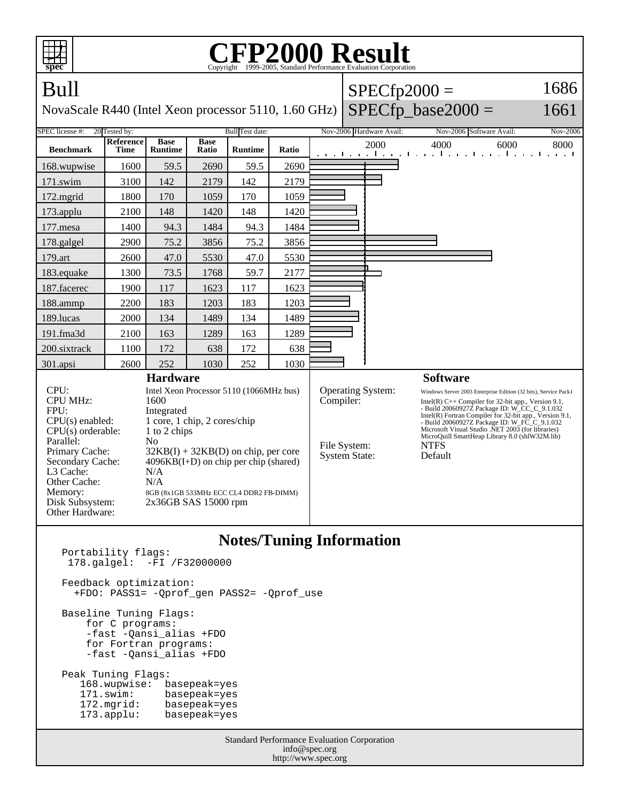| <b>FP2000 Result</b><br>Copyright ©1999-2005, Standard Performance Evaluation Corporation<br>spec                |                                                                                                                                                    |                                                                                                                                                                     |                      |                |                                                       |                      |                          |                                                                                                                                                                                                                                                                                                                                                                                                                                         |                                                          |              |
|------------------------------------------------------------------------------------------------------------------|----------------------------------------------------------------------------------------------------------------------------------------------------|---------------------------------------------------------------------------------------------------------------------------------------------------------------------|----------------------|----------------|-------------------------------------------------------|----------------------|--------------------------|-----------------------------------------------------------------------------------------------------------------------------------------------------------------------------------------------------------------------------------------------------------------------------------------------------------------------------------------------------------------------------------------------------------------------------------------|----------------------------------------------------------|--------------|
| Bull                                                                                                             |                                                                                                                                                    |                                                                                                                                                                     |                      |                |                                                       |                      |                          |                                                                                                                                                                                                                                                                                                                                                                                                                                         | $SPECfp2000 =$                                           | 1686         |
| NovaScale R440 (Intel Xeon processor 5110, 1.60 GHz)                                                             |                                                                                                                                                    |                                                                                                                                                                     |                      |                |                                                       | $SPECfp\_base2000 =$ | 1661                     |                                                                                                                                                                                                                                                                                                                                                                                                                                         |                                                          |              |
| SPEC license #:<br>20 Tested by:                                                                                 |                                                                                                                                                    | <b>Bull</b> Test date:                                                                                                                                              |                      |                |                                                       |                      | Nov-2006 Hardware Avail: | Nov-2006 Software Avail:                                                                                                                                                                                                                                                                                                                                                                                                                | Nov-2006                                                 |              |
| <b>Benchmark</b>                                                                                                 | Reference<br><b>Time</b>                                                                                                                           | <b>Base</b><br><b>Runtime</b>                                                                                                                                       | <b>Base</b><br>Ratio | <b>Runtime</b> | Ratio                                                 |                      |                          | 2000                                                                                                                                                                                                                                                                                                                                                                                                                                    | 4000<br>المتعارض والمتحارب والمتحارب والمتحارب والمتحارب | 6000<br>8000 |
| 168.wupwise                                                                                                      | 1600                                                                                                                                               | 59.5                                                                                                                                                                | 2690                 | 59.5           | 2690                                                  |                      |                          |                                                                                                                                                                                                                                                                                                                                                                                                                                         |                                                          |              |
| 171.swim                                                                                                         | 3100                                                                                                                                               | 142                                                                                                                                                                 | 2179                 | 142            | 2179                                                  |                      |                          |                                                                                                                                                                                                                                                                                                                                                                                                                                         |                                                          |              |
| 172.mgrid                                                                                                        | 1800                                                                                                                                               | 170                                                                                                                                                                 | 1059                 | 170            | 1059                                                  |                      |                          |                                                                                                                                                                                                                                                                                                                                                                                                                                         |                                                          |              |
| 173.applu                                                                                                        | 2100                                                                                                                                               | 148                                                                                                                                                                 | 1420                 | 148            | 1420                                                  |                      |                          |                                                                                                                                                                                                                                                                                                                                                                                                                                         |                                                          |              |
| 177.mesa                                                                                                         | 1400                                                                                                                                               | 94.3                                                                                                                                                                | 1484                 | 94.3           | 1484                                                  |                      |                          |                                                                                                                                                                                                                                                                                                                                                                                                                                         |                                                          |              |
| 178.galgel                                                                                                       | 2900                                                                                                                                               | 75.2                                                                                                                                                                | 3856                 | 75.2           | 3856                                                  |                      |                          |                                                                                                                                                                                                                                                                                                                                                                                                                                         |                                                          |              |
| 179.art                                                                                                          | 2600                                                                                                                                               | 47.0                                                                                                                                                                | 5530                 | 47.0           | 5530                                                  |                      |                          |                                                                                                                                                                                                                                                                                                                                                                                                                                         |                                                          |              |
| 183.equake                                                                                                       | 1300                                                                                                                                               | 73.5                                                                                                                                                                | 1768                 | 59.7           | 2177                                                  |                      |                          |                                                                                                                                                                                                                                                                                                                                                                                                                                         |                                                          |              |
| 187.facerec                                                                                                      | 1900                                                                                                                                               | 117                                                                                                                                                                 | 1623                 | 117            | 1623                                                  |                      |                          |                                                                                                                                                                                                                                                                                                                                                                                                                                         |                                                          |              |
| 188.ammp                                                                                                         | 2200                                                                                                                                               | 183                                                                                                                                                                 | 1203                 | 183            | 1203                                                  |                      |                          |                                                                                                                                                                                                                                                                                                                                                                                                                                         |                                                          |              |
| 189.lucas                                                                                                        | 2000                                                                                                                                               | 134                                                                                                                                                                 | 1489                 | 134            | 1489                                                  |                      |                          |                                                                                                                                                                                                                                                                                                                                                                                                                                         |                                                          |              |
| 191.fma3d                                                                                                        | 2100                                                                                                                                               | 163                                                                                                                                                                 | 1289                 | 163            | 1289                                                  |                      |                          |                                                                                                                                                                                                                                                                                                                                                                                                                                         |                                                          |              |
| 200.sixtrack                                                                                                     | 1100                                                                                                                                               | 172                                                                                                                                                                 | 638                  | 172            | 638                                                   |                      |                          |                                                                                                                                                                                                                                                                                                                                                                                                                                         |                                                          |              |
| 301.apsi                                                                                                         | 2600                                                                                                                                               | 252                                                                                                                                                                 | 1030                 | 252            | 1030                                                  |                      |                          |                                                                                                                                                                                                                                                                                                                                                                                                                                         |                                                          |              |
| CPU:<br><b>CPU MHz:</b><br>FPII:<br>$CPU(s)$ enabled:<br>$CPU(s)$ orderable:<br>Parallel:                        | <b>Hardware</b><br>Intel Xeon Processor 5110 (1066MHz bus)<br>1600<br>Integrated<br>1 core, 1 chip, 2 cores/chip<br>1 to 2 chips<br>N <sub>0</sub> |                                                                                                                                                                     |                      |                | <b>Operating System:</b><br>Compiler:<br>File System: |                      |                          | <b>Software</b><br>Windows Server 2003 Enterprise Edition (32 bits), Service Pack1<br>Intel(R) $C++$ Compiler for 32-bit app., Version 9.1,<br>- Build 20060927Z Package ID: W_CC_C_9.1.032<br>Intel(R) Fortran Compiler for 32-bit app., Version 9.1,<br>- Build 20060927Z Package ID: W_FC_C_9.1.032<br>Microsoft Visual Studio .NET 2003 (for libraries)<br>MicroQuill SmartHeap Library 8.0 (shlW32M.lib)<br><b>NTFS</b><br>Default |                                                          |              |
| Primary Cache:<br>Secondary Cache:<br>L3 Cache:<br>Other Cache:<br>Memory:<br>Disk Subsystem:<br>Other Hardware: |                                                                                                                                                    | $32KB(I) + 32KB(D)$ on chip, per core<br>$4096KB(I+D)$ on chip per chip (shared)<br>N/A<br>N/A<br>8GB (8x1GB 533MHz ECC CL4 DDR2 FB-DIMM)<br>$2x36GB$ SAS 15000 rpm |                      |                |                                                       |                      | <b>System State:</b>     |                                                                                                                                                                                                                                                                                                                                                                                                                                         |                                                          |              |
| <b>Notes/Tuning Information</b><br>Portability flags:<br>$178 \text{ cal} \cdot 1 : -FT / 732000000$             |                                                                                                                                                    |                                                                                                                                                                     |                      |                |                                                       |                      |                          |                                                                                                                                                                                                                                                                                                                                                                                                                                         |                                                          |              |

 178.galgel: -FI /F32000000 Feedback optimization: +FDO: PASS1= -Qprof\_gen PASS2= -Qprof\_use Baseline Tuning Flags: for C programs: -fast -Qansi\_alias +FDO for Fortran programs: -fast -Qansi\_alias +FDO Peak Tuning Flags: 168.wupwise: basepeak=yes<br>171.swim: basepeak=yes 171.swim: basepeak=yes<br>172.mgrid: basepeak=yes 172.mgrid: basepeak=yes<br>173.applu: basepeak=yes basepeak=yes

> Standard Performance Evaluation Corporation info@spec.org http://www.spec.org